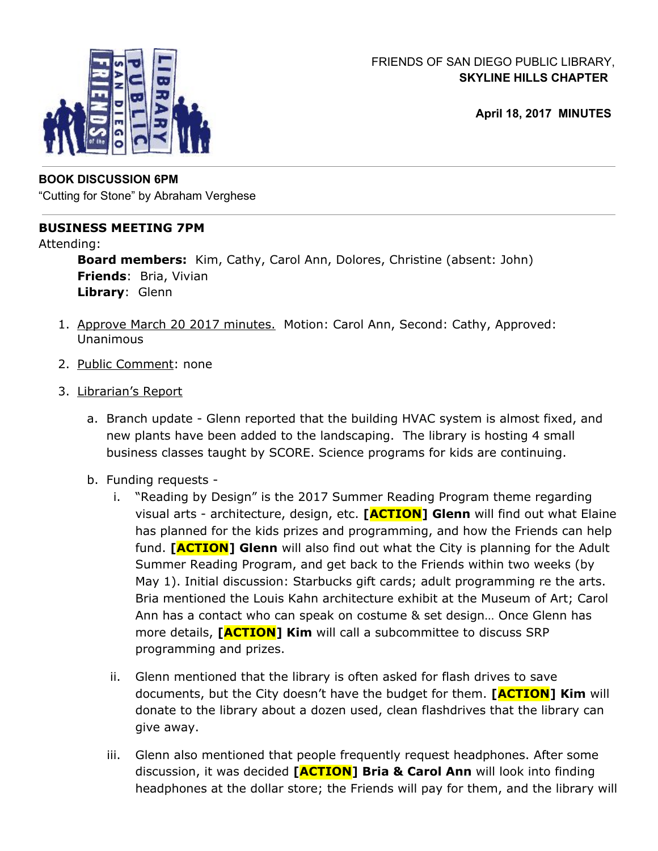

# FRIENDS OF SAN DIEGO PUBLIC LIBRARY, **SKYLINE HILLS CHAPTER**

**April 18, 2017 MINUTES**

# **BOOK DISCUSSION 6PM**

"Cutting for Stone" by Abraham Verghese

## **BUSINESS MEETING 7PM**

Attending:

**Board members:** Kim, Cathy, Carol Ann, Dolores, Christine (absent: John) **Friends**: Bria, Vivian **Library**: Glenn

- 1. Approve March 20 2017 minutes. Motion: Carol Ann, Second: Cathy, Approved: Unanimous
- 2. Public Comment: none
- 3. Librarian's Report
	- a. Branch update Glenn reported that the building HVAC system is almost fixed, and new plants have been added to the landscaping. The library is hosting 4 small business classes taught by SCORE. Science programs for kids are continuing.
	- b. Funding requests
		- i. "Reading by Design" is the 2017 Summer Reading Program theme regarding visual arts - architecture, design, etc. **[ACTION] Glenn** will find out what Elaine has planned for the kids prizes and programming, and how the Friends can help fund. **[ACTION] Glenn** will also find out what the City is planning for the Adult Summer Reading Program, and get back to the Friends within two weeks (by May 1). Initial discussion: Starbucks gift cards; adult programming re the arts. Bria mentioned the Louis Kahn architecture exhibit at the Museum of Art; Carol Ann has a contact who can speak on costume & set design… Once Glenn has more details, **[ACTION] Kim** will call a subcommittee to discuss SRP programming and prizes.
		- ii. Glenn mentioned that the library is often asked for flash drives to save documents, but the City doesn't have the budget for them. **[ACTION] Kim** will donate to the library about a dozen used, clean flashdrives that the library can give away.
		- iii. Glenn also mentioned that people frequently request headphones. After some discussion, it was decided **[ACTION] Bria & Carol Ann** will look into finding headphones at the dollar store; the Friends will pay for them, and the library will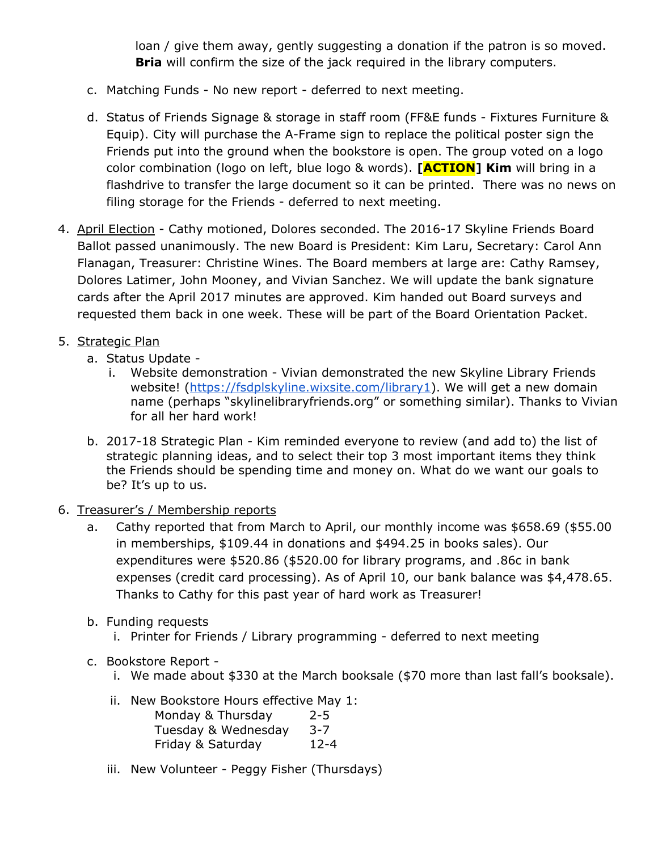loan / give them away, gently suggesting a donation if the patron is so moved. **Bria** will confirm the size of the jack required in the library computers.

- c. Matching Funds No new report deferred to next meeting.
- d. Status of Friends Signage & storage in staff room (FF&E funds Fixtures Furniture & Equip). City will purchase the A-Frame sign to replace the political poster sign the Friends put into the ground when the bookstore is open. The group voted on a logo color combination (logo on left, blue logo & words). **[ACTION] Kim** will bring in a flashdrive to transfer the large document so it can be printed. There was no news on filing storage for the Friends - deferred to next meeting.
- 4. April Election Cathy motioned, Dolores seconded. The 2016-17 Skyline Friends Board Ballot passed unanimously. The new Board is President: Kim Laru, Secretary: Carol Ann Flanagan, Treasurer: Christine Wines. The Board members at large are: Cathy Ramsey, Dolores Latimer, John Mooney, and Vivian Sanchez. We will update the bank signature cards after the April 2017 minutes are approved. Kim handed out Board surveys and requested them back in one week. These will be part of the Board Orientation Packet.

# 5. Strategic Plan

- a. Status Update
	- i. Website demonstration Vivian demonstrated the new Skyline Library Friends website! [\(https://fsdplskyline.wixsite.com/library1](https://fsdplskyline.wixsite.com/library1)). We will get a new domain name (perhaps "skylinelibraryfriends.org" or something similar). Thanks to Vivian for all her hard work!
- b. 2017-18 Strategic Plan Kim reminded everyone to review (and add to) the list of strategic planning ideas, and to select their top 3 most important items they think the Friends should be spending time and money on. What do we want our goals to be? It's up to us.
- 6. Treasurer's / Membership reports
	- a. Cathy reported that from March to April, our monthly income was \$658.69 (\$55.00 in memberships, \$109.44 in donations and \$494.25 in books sales). Our expenditures were \$520.86 (\$520.00 for library programs, and .86c in bank expenses (credit card processing). As of April 10, our bank balance was \$4,478.65. Thanks to Cathy for this past year of hard work as Treasurer!
	- b. Funding requests
		- i. Printer for Friends / Library programming deferred to next meeting
	- c. Bookstore Report
		- i. We made about \$330 at the March booksale (\$70 more than last fall's booksale).
		- ii. New Bookstore Hours effective May 1: Monday & Thursday 2-5 Tuesday & Wednesday 3-7
			- Friday & Saturday 12-4
		- iii. New Volunteer Peggy Fisher (Thursdays)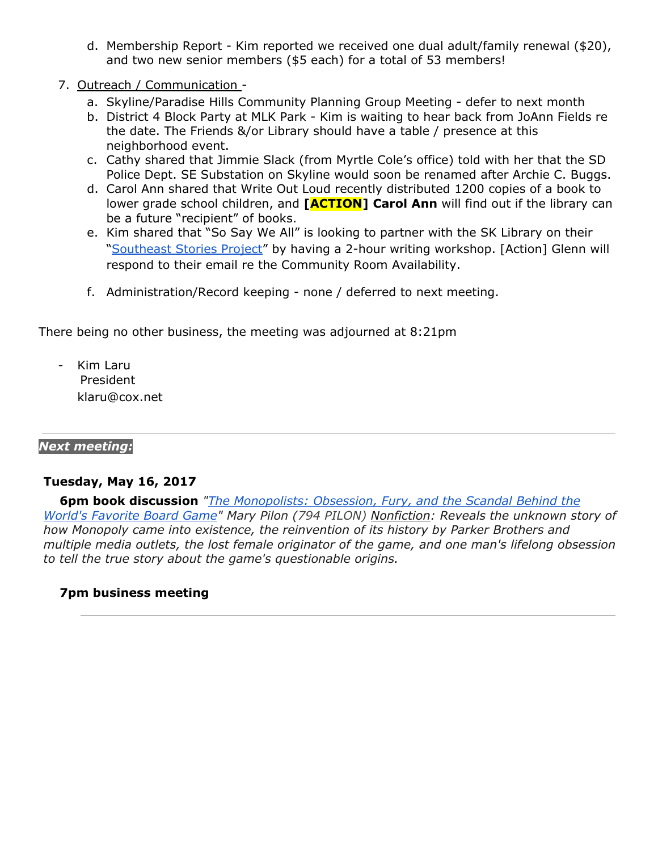- d. Membership Report Kim reported we received one dual adult/family renewal (\$20), and two new senior members (\$5 each) for a total of 53 members!
- 7. Outreach / Communication
	- a. Skyline/Paradise Hills Community Planning Group Meeting defer to next month
	- b. District 4 Block Party at MLK Park Kim is waiting to hear back from JoAnn Fields re the date. The Friends &/or Library should have a table / presence at this neighborhood event.
	- c. Cathy shared that Jimmie Slack (from Myrtle Cole's office) told with her that the SD Police Dept. SE Substation on Skyline would soon be renamed after Archie C. Buggs.
	- d. Carol Ann shared that Write Out Loud recently distributed 1200 copies of a book to lower grade school children, and **[ACTION] Carol Ann** will find out if the library can be a future "recipient" of books.
	- e. Kim shared that "So Say We All" is looking to partner with the SK Library on their ["Southeast](http://www.sosayweallonline.com/call-for-submissions-southeast-stories/) Stories Project" by having a 2-hour writing workshop. [Action] Glenn will respond to their email re the Community Room Availability.
	- f. Administration/Record keeping none / deferred to next meeting.

There being no other business, the meeting was adjourned at 8:21pm

Kim Laru President klaru@cox.net

#### *Next meeting:*

#### **Tuesday, May 16, 2017**

**6pm book discussion** *"The [Monopolists:](https://sandiego.bibliocommons.com/item/show/1357576104_the_monopolists) Obsession, Fury, and the Scandal Behind the World's Favorite Board Game" Mary Pilon (794 PILON) Nonfiction: Reveals the unknown story of how Monopoly came into existence, the reinvention of its history by Parker Brothers and multiple media outlets, the lost female originator of the game, and one man's lifelong obsession to tell the true story about the game's questionable origins.*

### **7pm business meeting**